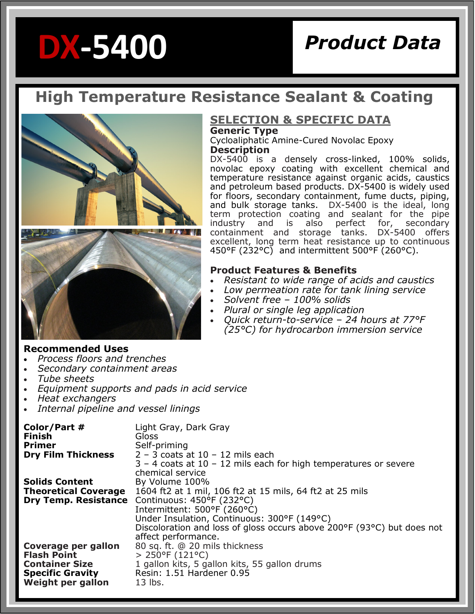# **DX-5400**

# *Product Data*

# **High Temperature Resistance Sealant & Coating**



#### **SELECTION & SPECIFIC DATA Generic Type**

Cycloaliphatic Amine-Cured Novolac Epoxy **Description**

DX-5400 is a densely cross-linked, 100% solids, novolac epoxy coating with excellent chemical and temperature resistance against organic acids, caustics and petroleum based products. DX-5400 is widely used for floors, secondary containment, fume ducts, piping, and bulk storage tanks. DX-5400 is the ideal, long term protection coating and sealant for the pipe industry and is also perfect for, secondary<br>containment and storage tanks. DX-5400 offers containment and storage tanks. excellent, long term heat resistance up to continuous 450°F (232°C) and intermittent 500°F (260°C).

#### **Product Features & Benefits**

- *Resistant to wide range of acids and caustics*
- *Low permeation rate for tank lining service*
- *Solvent free – 100% solids*
- *Plural or single leg application*
- *Quick return-to-service – 24 hours at 77°F (25°C) for hydrocarbon immersion service*

#### **Recommended Uses**

- *Process floors and trenches*
- *Secondary containment areas*
- *Tube sheets*
- *Equipment supports and pads in acid service*
- *Heat exchangers*
- *Internal pipeline and vessel linings*

| Color/Part #<br><b>Finish</b><br><b>Primer</b><br><b>Dry Film Thickness</b> | Light Gray, Dark Gray<br>Gloss<br>Self-priming<br>$2 - 3$ coats at $10 - 12$ mils each<br>$3 - 4$ coats at $10 - 12$ mils each for high temperatures or severe<br>chemical service |
|-----------------------------------------------------------------------------|------------------------------------------------------------------------------------------------------------------------------------------------------------------------------------|
| <b>Solids Content</b>                                                       | By Volume 100%                                                                                                                                                                     |
| <b>Theoretical Coverage</b>                                                 | 1604 ft2 at 1 mil, 106 ft2 at 15 mils, 64 ft2 at 25 mils                                                                                                                           |
|                                                                             | Dry Temp. Resistance Continuous: 450°F (232°C)                                                                                                                                     |
|                                                                             | Intermittent: 500°F (260°C)                                                                                                                                                        |
|                                                                             | Under Insulation, Continuous: 300°F (149°C)                                                                                                                                        |
|                                                                             | Discoloration and loss of gloss occurs above 200°F (93°C) but does not                                                                                                             |
|                                                                             | affect performance.                                                                                                                                                                |
| Coverage per gallon                                                         | 80 sq. ft. @ 20 mils thickness                                                                                                                                                     |
| <b>Flash Point</b>                                                          | $> 250^{\circ}F(121^{\circ}C)$                                                                                                                                                     |
| <b>Container Size</b>                                                       | 1 gallon kits, 5 gallon kits, 55 gallon drums                                                                                                                                      |
| <b>Specific Gravity</b>                                                     | Resin: 1.51 Hardener 0.95                                                                                                                                                          |
| Weight per gallon                                                           | $13$ lbs.                                                                                                                                                                          |
|                                                                             |                                                                                                                                                                                    |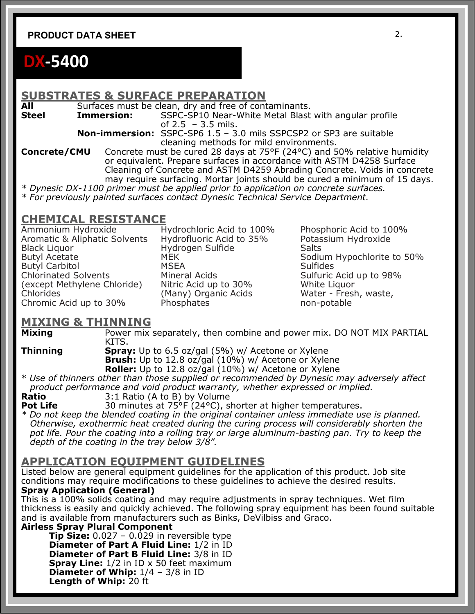#### **PRODUCT DATA SHEET** 2.

# **DX-5400**

#### **SUBSTRATES & SURFACE PREPARATION**

All Surfaces must be clean, dry and free of contaminants.

**Steel Immersion:** SSPC-SP10 Near-White Metal Blast with angular profile of 2.5 – 3.5 mils.

> **Non-immersion:** SSPC-SP6 1.5 – 3.0 mils SSPCSP2 or SP3 are suitable cleaning methods for mild environments.

**Concrete/CMU** Concrete must be cured 28 days at 75°F (24°C) and 50% relative humidity or equivalent. Prepare surfaces in accordance with ASTM D4258 Surface Cleaning of Concrete and ASTM D4259 Abrading Concrete. Voids in concrete may require surfacing. Mortar joints should be cured a minimum of 15 days.

*\* Dynesic DX-1100 primer must be applied prior to application on concrete surfaces.* 

*\* For previously painted surfaces contact Dynesic Technical Service Department.* 

# **CHEMICAL RESISTANCE**<br>Ammonium Hydroxide H

Aromatic & Aliphatic Solvents Hydrofluoric Acid to 35% Potassium Hydroxide Black Liquor Hydrogen Sulfide Salts Butyl Carbitol MSEA Sulfides Chlorinated Solvents Mineral Acids Sulfuric Acid up to 98% (except Methylene Chloride) Nitric Acid up to 30% White Liquor<br>Chlorides (Many) Organic Acids Water - Fresh, waste, Chromic Acid up to 30% Phosphates non-potable

(Many) Organic Acids

Hydrochloric Acid to 100% Phosphoric Acid to 100% Sodium Hypochlorite to 50%

# **MIXING & THINNING**<br>Mixing Power mix

Power mix separately, then combine and power mix. DO NOT MIX PARTIAL KITS.

**Thinning <b>Spray:** Up to 6.5 oz/gal (5%) w/ Acetone or Xylene **Brush:** Up to 12.8 oz/gal (10%) w/ Acetone or Xylene **Roller:** Up to 12.8 oz/gal (10%) w/ Acetone or Xylene

\* *Use of thinners other than those supplied or recommended by Dynesic may adversely affect product performance and void product warranty, whether expressed or implied.* 

**Ratio** 3:1 Ratio (A to B) by Volume

**Pot Life** 30 minutes at 75°F (24°C), shorter at higher temperatures.

*\* Do not keep the blended coating in the original container unless immediate use is planned. Otherwise, exothermic heat created during the curing process will considerably shorten the pot life. Pour the coating into a rolling tray or large aluminum-basting pan. Try to keep the depth of the coating in the tray below 3/8".* 

#### **APPLICATION EQUIPMENT GUIDELINES**

Listed below are general equipment guidelines for the application of this product. Job site conditions may require modifications to these guidelines to achieve the desired results. **Spray Application (General)** 

This is a 100% solids coating and may require adjustments in spray techniques. Wet film thickness is easily and quickly achieved. The following spray equipment has been found suitable and is available from manufacturers such as Binks, DeVilbiss and Graco.

**Airless Spray Plural Component** 

**Tip Size:** 0.027 – 0.029 in reversible type **Diameter of Part A Fluid Line:** 1/2 in ID **Diameter of Part B Fluid Line:** 3/8 in ID **Spray Line:**  $1/2$  in ID x 50 feet maximum **Diameter of Whip:**  $1/4 - 3/8$  in ID **Length of Whip:** 20 ft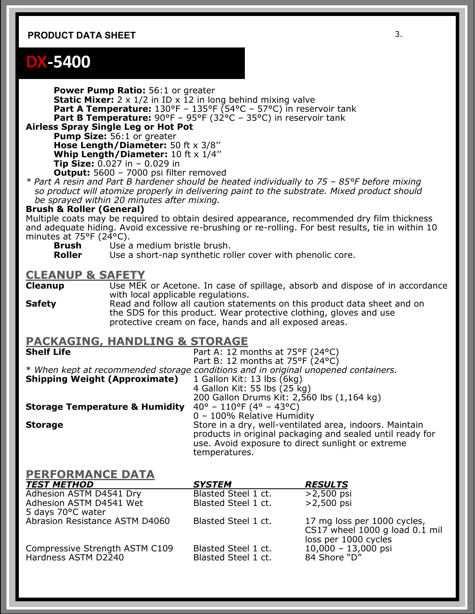#### **PRODUCT DATA SHEET** 3.

### **DX-5400**

**Power Pump Ratio: 56:1 or greater Static Mixer:** 2 x 1/2 in ID x 12 in long behind mixing valve **Part A Temperature:** 130°F – 135°F (54°C – 57°C) in reservoir tank **Part B Temperature:** 90°F – 95°F (32°C – 35°C) in reservoir tank

**Airless Spray Single Leg or Hot Pot** 

**Pump Size: 56:1 or greater Hose Length/Diameter:** 50 ft x 3/8'' **Whip Length/Diameter:** 10 ft x 1/4'' **Tip Size:** 0.027 in – 0.029 in **Output:** 5600 – 7000 psi filter removed

*\* Part A resin and Part B hardener should be heated individually to 75 – 85°F before mixing so product will atomize properly in delivering paint to the substrate. Mixed product should be sprayed within 20 minutes after mixing.* 

#### **Brush & Roller (General)**

Multiple coats may be required to obtain desired appearance, recommended dry film thickness and adequate hiding. Avoid excessive re-brushing or re-rolling. For best results, tie in within 10 minutes at 75°F (24°C).

**Brush** Use a medium bristle brush.

**Roller** Use a short-nap synthetic roller cover with phenolic core.

# **CLEANUP & SAFETY**

Use MEK or Acetone. In case of spillage, absorb and dispose of in accordance with local applicable regulations.

**Safety** Read and follow all caution statements on this product data sheet and on the SDS for this product. Wear protective clothing, gloves and use protective cream on face, hands and all exposed areas.

## **PACKAGING, HANDLING & STORAGE**

**Shelf Life** Part A: 12 months at 75°F (24°C) Part B: 12 months at 75°F (24°C) \* *When kept at recommended storage conditions and in original unopened containers.*  **Shipping Weight (Approximate)** 1 Gallon Kit: 13 lbs (6kg) 4 Gallon Kit: 55 lbs  $(25 \text{ kg})$ 200 Gallon Drums Kit: 2,560 lbs  $(1,164 \text{ kg})$ <br>40° - 110°F (4° - 43°C) **Storage Temperature & Humidity** 0 – 100% Relative Humidity **Storage Store in a dry, well-ventilated area, indoors. Maintain** products in original packaging and sealed until ready for use. Avoid exposure to direct sunlight or extreme

temperatures.

#### **PERFORMANCE DATA**

| <b>TEST METHOD</b>             | <b>SYSTEM</b>       | <b>RESULTS</b>                                                                        |
|--------------------------------|---------------------|---------------------------------------------------------------------------------------|
| Adhesion ASTM D4541 Dry        | Blasted Steel 1 ct. | $>2,500$ psi                                                                          |
| Adhesion ASTM D4541 Wet        | Blasted Steel 1 ct. | $>2,500$ psi                                                                          |
| 5 days 70°C water              |                     |                                                                                       |
| Abrasion Resistance ASTM D4060 | Blasted Steel 1 ct. | 17 mg loss per 1000 cycles,<br>CS17 wheel 1000 g load 0.1 mil<br>loss per 1000 cycles |
| Compressive Strength ASTM C109 | Blasted Steel 1 ct. | $10,000 - 13,000$ psi                                                                 |
| Hardness ASTM D2240            | Blasted Steel 1 ct. | 84 Shore "D"                                                                          |